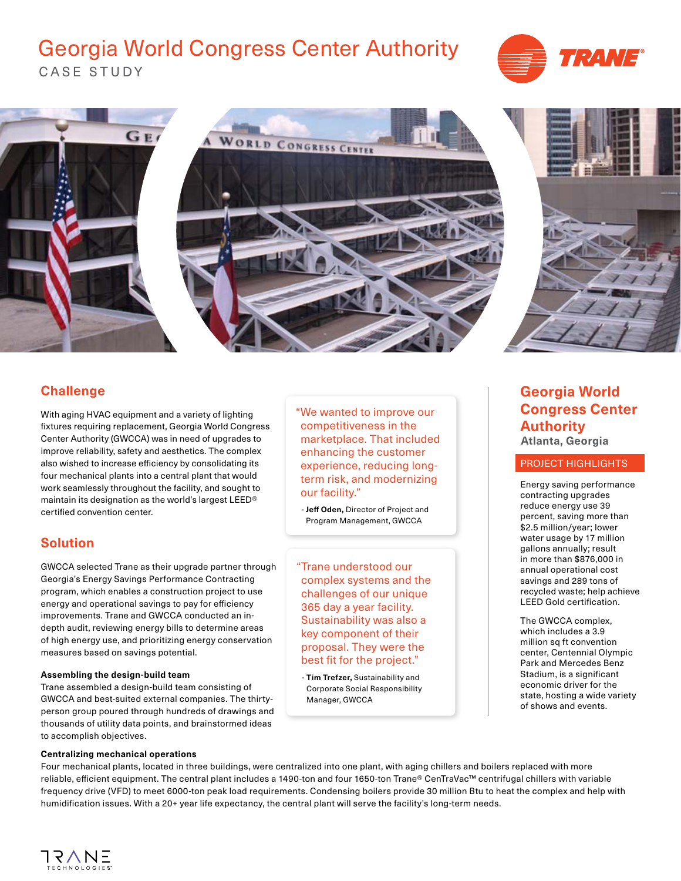# Georgia World Congress Center Authority







## **Challenge**

With aging HVAC equipment and a variety of lighting fixtures requiring replacement, Georgia World Congress Center Authority (GWCCA) was in need of upgrades to improve reliability, safety and aesthetics. The complex also wished to increase efficiency by consolidating its four mechanical plants into a central plant that would work seamlessly throughout the facility, and sought to maintain its designation as the world's largest LEED® certified convention center.

## **Solution**

GWCCA selected Trane as their upgrade partner through Georgia's Energy Savings Performance Contracting program, which enables a construction project to use energy and operational savings to pay for efficiency improvements. Trane and GWCCA conducted an indepth audit, reviewing energy bills to determine areas of high energy use, and prioritizing energy conservation measures based on savings potential.

### **Assembling the design-build team**

Trane assembled a design-build team consisting of GWCCA and best-suited external companies. The thirtyperson group poured through hundreds of drawings and thousands of utility data points, and brainstormed ideas to accomplish objectives.

### **Centralizing mechanical operations**

"We wanted to improve our competitiveness in the marketplace. That included enhancing the customer experience, reducing longterm risk, and modernizing our facility."

 - **Jeff Oden,** Director of Project and Program Management, GWCCA

"Trane understood our complex systems and the challenges of our unique 365 day a year facility. Sustainability was also a key component of their proposal. They were the best fit for the project."

 - **Tim Trefzer,** Sustainability and Corporate Social Responsibility Manager, GWCCA

## **Georgia World Congress Center Authority Atlanta, Georgia**

### PROJECT HIGHLIGHTS

Energy saving performance contracting upgrades reduce energy use 39 percent, saving more than \$2.5 million/year; lower water usage by 17 million gallons annually; result in more than \$876,000 in annual operational cost savings and 289 tons of recycled waste; help achieve LEED Gold certification.

The GWCCA complex, which includes a 3.9 million sq ft convention center, Centennial Olympic Park and Mercedes Benz Stadium, is a significant economic driver for the state, hosting a wide variety of shows and events.

Four mechanical plants, located in three buildings, were centralized into one plant, with aging chillers and boilers replaced with more reliable, efficient equipment. The central plant includes a 1490-ton and four 1650-ton Trane® CenTraVac™ centrifugal chillers with variable frequency drive (VFD) to meet 6000-ton peak load requirements. Condensing boilers provide 30 million Btu to heat the complex and help with humidification issues. With a 20+ year life expectancy, the central plant will serve the facility's long-term needs.